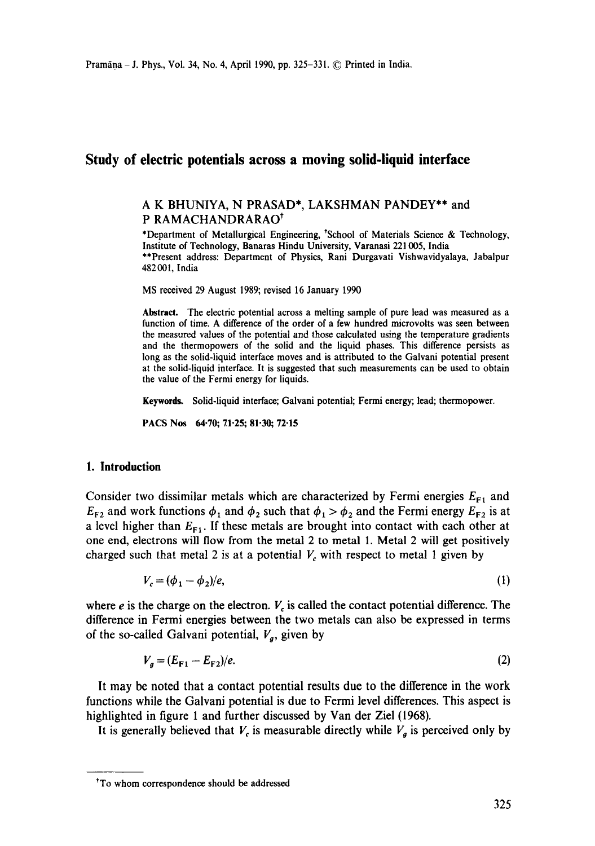# **Study of electric potentials across a moving solid-liquid interface**

# A K BHUNIYA, N PRASAD\*, LAKSHMAN PANDEY\*\* and P RAMACHANDRARAO<sup>†</sup>

\*Department of Metallurgical Engineering, \*School of Materials Science & Technology, Institute of Technology, Banaras Hindu University, Varanasi 221005, India \*\*Present address: Department of Physics, Rani Durgavati Vishwavidyalaya, Jabalpur 482001, India

MS received 29 August 1989; revised 16 January 1990

**Abstract.** The electric potential across a melting sample of pure lead was measured as a function of time. A difference of the order of a few hundred microvoits was seen between the measured values of the potential and those calculated using the temperature gradients and the thermopowers of the solid and the liquid phases. This difference persists as long as the solid-liquid interface moves and is attributed to the Galvani potential present at the solid-liquid interface. It is suggested that such measurements can be used to obtain the value of the Fermi energy for liquids.

Keywords. Solid-liquid interface; Galvani potential; Fermi energy; lead; thermopower.

PACS Nos 64.70; 71.25; 81.30; 72.15

#### **1. Introduction**

Consider two dissimilar metals which are characterized by Fermi energies  $E_{F1}$  and  $E_{F2}$  and work functions  $\phi_1$  and  $\phi_2$  such that  $\phi_1 > \phi_2$  and the Fermi energy  $E_{F2}$  is at a level higher than  $E_{F_1}$ . If these metals are brought into contact with each other at one end, electrons will flow from the metal 2 to metal 1. Metal 2 will get positively charged such that metal 2 is at a potential  $V_c$  with respect to metal 1 given by

$$
V_c = (\phi_1 - \phi_2)/e,\tag{1}
$$

where e is the charge on the electron.  $V<sub>c</sub>$  is called the contact potential difference. The difference in Fermi energies between the two metals can also be expressed in terms of the so-called Galvani potential,  $V_q$ , given by

$$
V_g = (E_{F1} - E_{F2})/e. \tag{2}
$$

It may be noted that a contact potential results due to the difference in the work functions while the Galvani potential is due to Fermi level differences. This aspect is highlighted in figure 1 and further discussed by Van der Ziel (1968).

It is generally believed that  $V_c$  is measurable directly while  $V_a$  is perceived only by

<sup>\*</sup>To whom correspondence should be addressed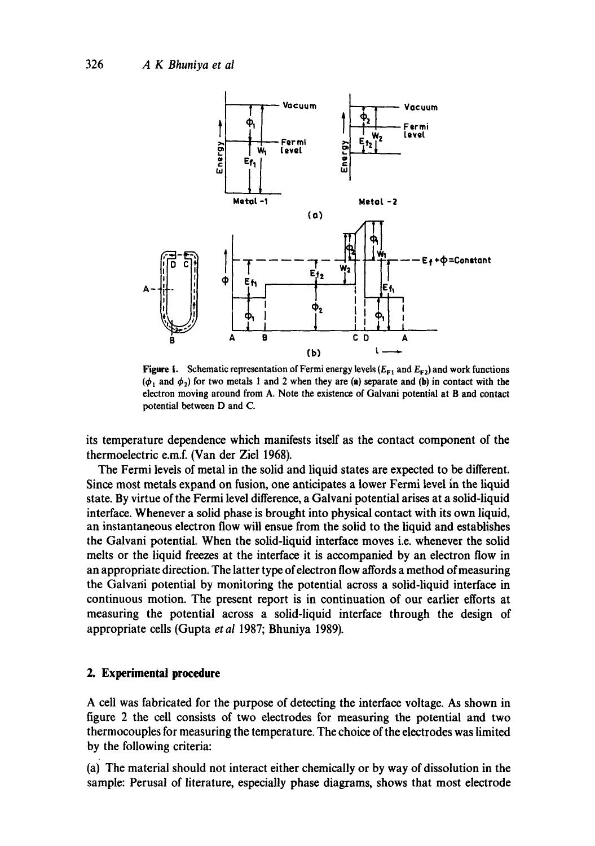

Figure 1. Schematic representation of Fermi energy levels ( $E_{F1}$  and  $E_{F2}$ ) and work functions  $(\phi_1$  and  $\phi_2$ ) for two metals 1 and 2 when they are (a) separate and (b) in contact with the electron moving around from A. Note the existence of Galvani potential at B and contact potential between D and C.

its temperature dependence which manifests itself as the contact component of the thermoelectric e.m.f. (Van der Ziel 1968).

The Fermi levels of metal in the solid and liquid states are expected to be different. Since most metals expand on fusion, one anticipates a lower Fermi level in the liquid state. By virtue of the Fermi level difference, a Galvani potential arises at a solid-liquid interface. Whenever a solid phase is brought into physical contact with its own liquid, an instantaneous electron flow will ensue from the solid to the liquid and establishes the Galvani potential. When the solid-liquid interface moves i.e. whenever the solid melts or the liquid freezes at the interface it is accompanied by an electron flow in an appropriate direction. The latter type of electron flow affords a method of measuring the Galvani potential by monitoring the potential across a solid-liquid interface in continuous motion. The present report is in continuation of our earlier efforts at measuring the potential across a solid-liquid interface through the design of appropriate cells (Gupta *et al* 1987; Bhuniya 1989).

# **2. Experimental procedure**

A cell was fabricated for the purpose of detecting the interface voltage. As shown in figure 2 the cell consists of two electrodes for measuring the potential and two thermocouples for measuring the temperature. The choice of the electrodes was limited by the following criteria:

(ai The material should not interact either chemically or by way of dissolution in the sample: Perusal of literature, especially phase diagrams, shows that most electrode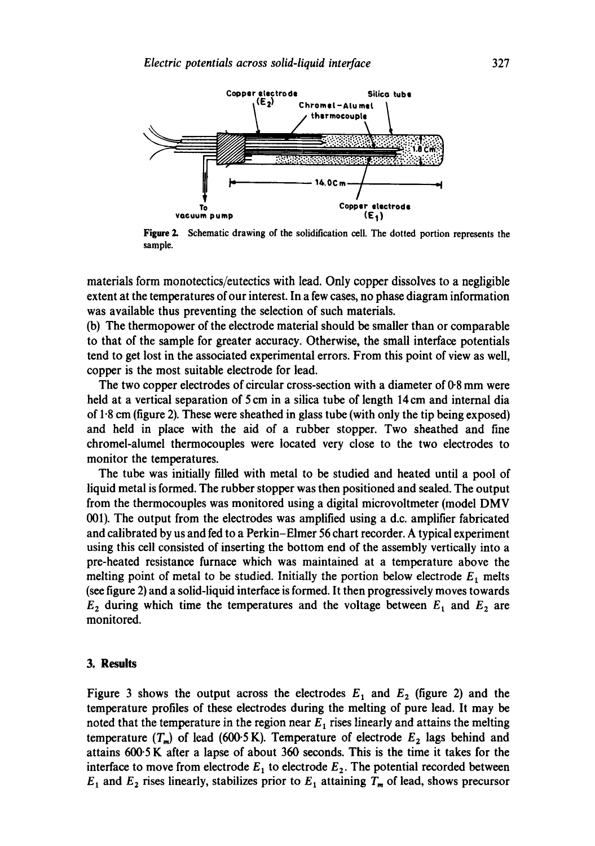

**Figure** 2. Schematic drawing of the solidification cell. The dotted portion represents the sample.

materials form monotectics/eutectics with lead. Only copper dissolves to a negligible extent at the temperatures of our interest. In a few cases, no phase diagram information was available thus preventing the selection of such materials.

(b) The thermopower of the electrode material should be smaller than or comparable to that of the sample for greater accuracy. Otherwise, the small interface potentials tend to get lost in the associated experimental errors. From this point of view as well, copper is the most suitable electrode for lead.

The two copper electrodes of circular cross-section with a diameter of 0.8 mm were held at a vertical separation of 5 cm in a silica tube of length 14 cm and internal dia of  $1.8$  cm (figure 2). These were sheathed in glass tube (with only the tip being exposed) and held in place with the aid of a rubber stopper. Two sheathed and fine chromel-alumel thermocouples were located very close to the two electrodes to monitor the temperatures.

The tube was initially filled with metal to be studied and heated until a pool of liquid metal is formed. The rubber stopper was then positioned and sealed. The output from the thermocouples was monitored using a digital microvoltmeter (model DMV 001). The output from the electrodes was amplified using a d.c. amplifier fabricated and calibrated by us and fed to a Perkin-Elmer 56 chart recorder. A typical experiment using this cell consisted of inserting the bottom end of the assembly vertically into a pre-heated resistance furnace which was maintained at a temperature above the melting point of metal to be studied. Initially the portion below electrode  $E_1$  melts (see figure 2) and a solid-liquid interface is formed. It then progressively moves towards  $E_2$  during which time the temperatures and the voltage between  $E_1$  and  $E_2$  are monitored.

#### **3. Results**

Figure 3 shows the output across the electrodes  $E_1$  and  $E_2$  (figure 2) and the temperature profiles of these electrodes during the melting of pure lead. It may be noted that the temperature in the region near  $E_1$  rises linearly and attains the melting temperature  $(T_m)$  of lead (600.5 K). Temperature of electrode  $E_2$  lags behind and attains 600.5 K after a lapse of about 360 seconds. This is the time it takes for the interface to move from electrode  $E_1$  to electrode  $E_2$ . The potential recorded between  $E_1$  and  $E_2$  rises linearly, stabilizes prior to  $E_1$  attaining  $T_m$  of lead, shows precursor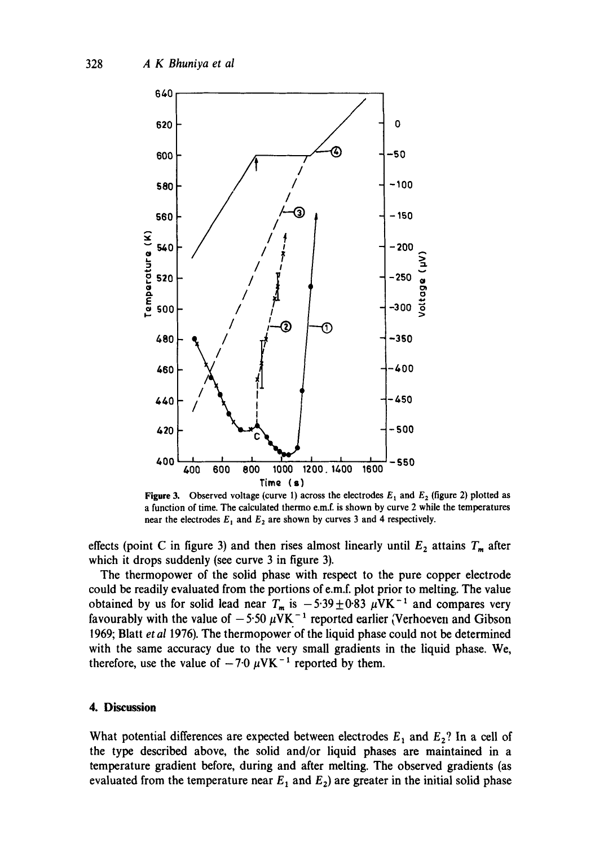

**Figure 3.** Observed voltage (curve 1) across the electrodes  $E_1$  and  $E_2$  (figure 2) plotted as a function of time. The calculated thermo e.m.f. is shown by curve 2 while the temperatures near the electrodes  $E_1$  and  $E_2$  are shown by curves 3 and 4 respectively.

effects (point C in figure 3) and then rises almost linearly until  $E_2$  attains  $T_m$  after which it drops suddenly (see curve 3 in figure 3).

The thermopower of the solid phase with respect to the pure copper electrode could be readily evaluated from the portions of e.m.f, plot prior to melting. The value obtained by us for solid lead near  $T_m$  is  $-5.39\pm0.83~\mu$ VK<sup>-1</sup> and compares very favourably with the value of  $-5.50 \mu$ VK<sup>-1</sup> reported earlier (Verhoeven and Gibson 1969; Blatt *et al* 1976). The thermopower of the liquid phase could not be determined with the same accuracy due to the very small gradients in the liquid phase. We, therefore, use the value of  $-7.0~\mu$ VK<sup>-1</sup> reported by them.

# **4. Discussion**

What potential differences are expected between electrodes  $E_1$  and  $E_2$ ? In a cell of the type described above, the solid and/or liquid phases are maintained in a temperature gradient before, during and after melting. The observed gradients (as evaluated from the temperature near  $E_1$  and  $E_2$ ) are greater in the initial solid phase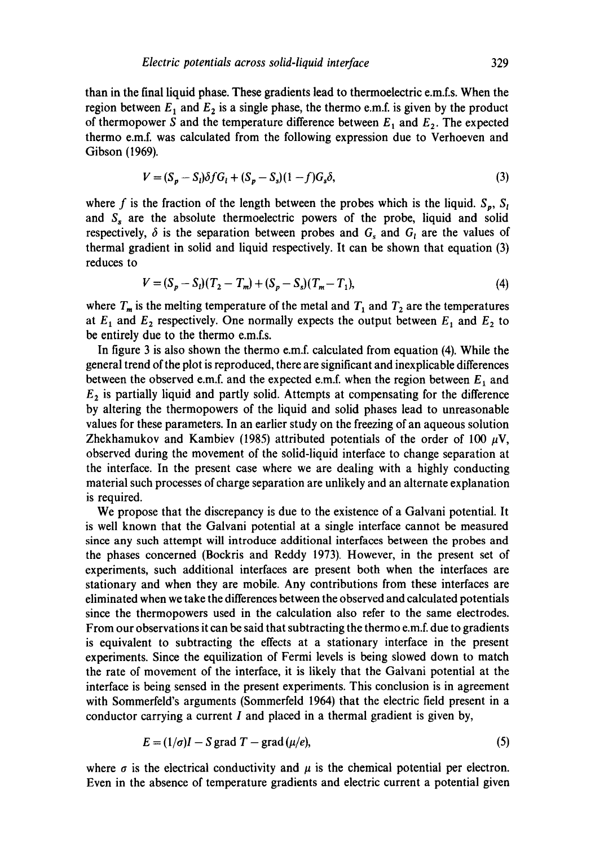than in the final liquid phase. These gradients lead to thermoelectric e.m.f.s. When the region between  $E_1$  and  $E_2$  is a single phase, the thermo e.m.f. is given by the product of thermopower S and the temperature difference between  $E_1$  and  $E_2$ . The expected thermo e.m.f, was calculated from the following expression due to Verhoeven and Gibson (1969).

$$
V = (S_p - S_l)\delta f G_l + (S_p - S_s)(1 - f)G_s \delta,
$$
\n(3)

where f is the fraction of the length between the probes which is the liquid.  $S_p$ ,  $S_l$ and  $S<sub>s</sub>$  are the absolute thermoelectric powers of the probe, liquid and solid respectively,  $\delta$  is the separation between probes and  $G_s$  and  $G_t$  are the values of thermal gradient in solid and liquid respectively. It can be shown that equation (3) reduces to

$$
V = (S_p - S_l)(T_2 - T_m) + (S_p - S_s)(T_m - T_1),
$$
\n(4)

where  $T_m$  is the melting temperature of the metal and  $T_1$  and  $T_2$  are the temperatures at  $E_1$  and  $E_2$  respectively. One normally expects the output between  $E_1$  and  $E_2$  to be entirely due to the thermo e.m.f.s.

In figure 3 is also shown the thermo e.m.f, calculated from equation (4). While the general trend of the plot is reproduced, there are significant and inexplicable differences between the observed e.m.f. and the expected e.m.f. when the region between  $E_1$  and  $E<sub>2</sub>$  is partially liquid and partly solid. Attempts at compensating for the difference by altering the thermopowers of the liquid and solid phases lead to unreasonable values for these parameters. In an earlier study on the freezing of an aqueous solution Zhekhamukov and Kambiev (1985) attributed potentials of the order of 100  $\mu$ V, observed during the movement of the solid-liquid interface to change separation at the interface. In the present case where we are dealing with a highly conducting material such processes of charge separation are unlikely and an alternate explanation is required.

We propose that the discrepancy is due to the existence of a Galvani potential. It is well known that the Galvani potential at a single interface cannot be measured since any such attempt will introduce additional interfaces between the probes and the phases concerned (Bockris and Reddy 1973). However, in the present set of experiments, such additional interfaces are present both when the interfaces are stationary and when they are mobile. Any contributions from these interfaces are eliminated when we take the differences between the observed and calculated potentials since the thermopowers used in the calculation also refer to the same electrodes. From our observations it can be said that subtracting the thermo e.m.f, due to gradients is equivalent to subtracting the effects at a stationary interface in the present experiments. Since the equilization of Fermi levels is being slowed down to match the rate of movement of the interface, it is likely that the Galvani potential at the interface is being sensed in the present experiments. This conclusion is in agreement with Sommerfeld's arguments (Sommerfeld 1964) that the electric field present in a conductor carrying a current  $I$  and placed in a thermal gradient is given by,

$$
E = (1/\sigma)I - S \text{ grad } T - \text{grad } (\mu/e), \tag{5}
$$

where  $\sigma$  is the electrical conductivity and  $\mu$  is the chemical potential per electron. Even in the absence of temperature gradients and electric current a potential given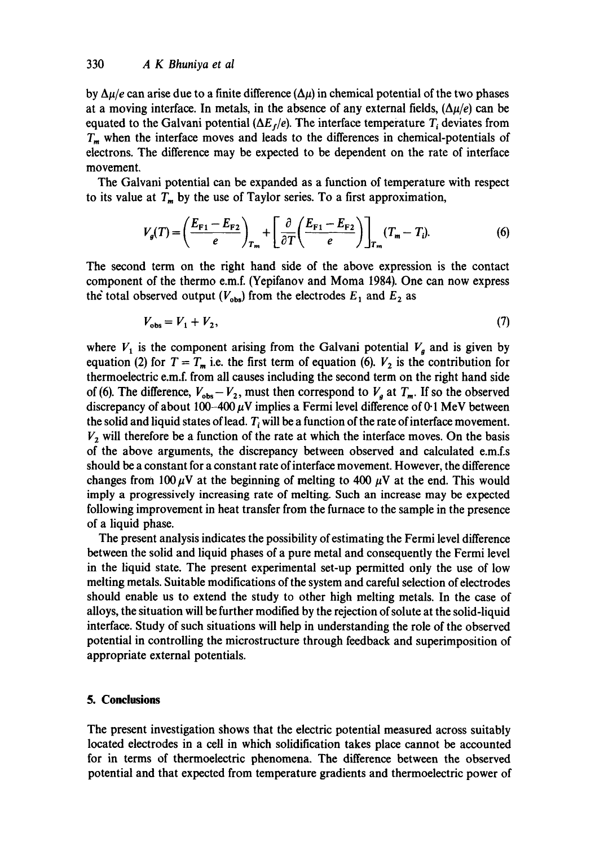by  $\Delta \mu/e$  can arise due to a finite difference  $(\Delta \mu)$  in chemical potential of the two phases at a moving interface. In metals, in the absence of any external fields,  $(\Delta \mu/e)$  can be equated to the Galvani potential  $(\Delta E_f/e)$ . The interface temperature  $T_i$  deviates from  $T_m$  when the interface moves and leads to the differences in chemical-potentials of electrons. The difference may be expected to be dependent on the rate of interface movement.

The Galvani potential can be expanded as a function of temperature with respect to its value at  $T_m$  by the use of Taylor series. To a first approximation,

$$
V_g(T) = \left(\frac{E_{\mathrm{F1}} - E_{\mathrm{F2}}}{e}\right)_{T_m} + \left[\frac{\partial}{\partial T} \left(\frac{E_{\mathrm{F1}} - E_{\mathrm{F2}}}{e}\right)\right]_{T_m} (T_m - T_i). \tag{6}
$$

The second term on the right hand side of the above expression is the contact component of the thermo e.m.f. (Yepifanov and Moma 1984). One can now express the total observed output ( $V_{obs}$ ) from the electrodes  $E_1$  and  $E_2$  as

$$
V_{obs} = V_1 + V_2,\tag{7}
$$

where  $V_1$  is the component arising from the Galvani potential  $V_a$  and is given by equation (2) for  $T = T_m$  i.e. the first term of equation (6).  $V_2$  is the contribution for thermoelectric e.m.f, from all causes including the second term on the right hand side of (6). The difference,  $V_{obs}-V_2$ , must then correspond to  $V_a$  at  $T_m$ . If so the observed discrepancy of about 100-400  $\mu$ V implies a Fermi level difference of 0.1 MeV between the solid and liquid states of lead.  $T_i$  will be a function of the rate of interface movement.  $V<sub>2</sub>$  will therefore be a function of the rate at which the interface moves. On the basis of the above arguments, the discrepancy between observed and calculated e.m.f.s should be a constant for a constant rate of interface movement. However, the difference changes from 100  $\mu$ V at the beginning of melting to 400  $\mu$ V at the end. This would imply a progressively increasing rate of melting. Such an increase may be expected following improvement in heat transfer from the furnace to the sample in the presence of a liquid phase.

The present analysis indicates the possibility of estimating the Fermi level difference between the solid and liquid phases of a pure metal and consequently the Fermi level in the liquid state. The present experimental set-up permitted only the use of low melting metals. Suitable modifications of the system and careful selection of electrodes should enable us to extend the study to other high melting metals. In the case of alloys, the situation will be further modified by the rejection of solute at the solid-liquid interface. Study of such situations will help in understanding the role of the observed potential in controlling the microstructure through feedback and superimposition of appropriate external potentials.

# **5. Conclusions**

The present investigation shows that the electric potential measured across suitably located electrodes in a cell in which solidification takes place cannot be accounted for in terms of thermoelectric phenomena. The difference between the observed potential and that expected from temperature gradients and thermoelectric power of